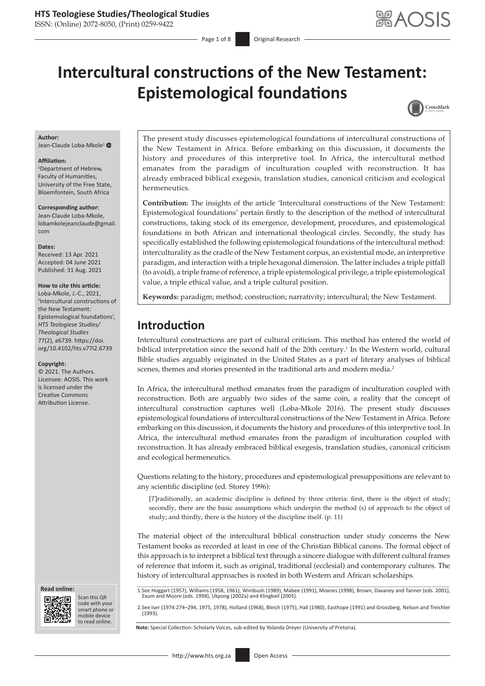ISSN: (Online) 2072-8050, (Print) 0259-9422

# **Intercultural constructions of the New Testament: Epistemological foundations**



#### **Author:**

Jean-Claude Loba-Mkole<sup>[1](https://orcid.org/0000-0003-4014-8651)</sup>

#### **Affiliation:**

1 Department of Hebrew, Faculty of Humanities, University of the Free State, Bloemfontein, South Africa

**Corresponding author:** Jean-Claude Loba-Mkole, [lobamkolejeanclaude@gmail.](mailto:lobamkolejeanclaude@gmail.com) [com](mailto:lobamkolejeanclaude@gmail.com)

#### **Dates:**

Received: 13 Apr. 2021 Accepted: 04 June 2021 Published: 31 Aug. 2021

#### **How to cite this article:**

Loba-Mkole, J.-C., 2021, 'Intercultural constructions of the New Testament: Epistemological foundations', *HTS Teologiese Studies/ Theological Studies* 77(2), a6739. [https://doi.](https://doi.org/10.4102/hts.v77i2.6739) [org/10.4102/hts.v77i2.6739](https://doi.org/10.4102/hts.v77i2.6739)

#### **Copyright:**

© 2021. The Authors. Licensee: AOSIS. This work is licensed under the Creative Commons Attribution License.

**Read online: Read online:**



Scan this QR code with your Scan this QR<br>code with your<br>smart phone or<br>mobile device mobile device

to read online. to read online.

The present study discusses epistemological foundations of intercultural constructions of the New Testament in Africa. Before embarking on this discussion, it documents the history and procedures of this interpretive tool. In Africa, the intercultural method emanates from the paradigm of inculturation coupled with reconstruction. It has already embraced biblical exegesis, translation studies, canonical criticism and ecological hermeneutics.

**Contribution:** The insights of the article 'Intercultural constructions of the New Testament: Epistemological foundations' pertain firstly to the description of the method of intercultural constructions, taking stock of its emergence, development, procedures, and epistemological foundations in both African and international theological circles. Secondly, the study has specifically established the following epistemological foundations of the intercultural method: interculturality as the cradle of the New Testament corpus, an existential mode, an interpretive paradigm, and interaction with a triple hexagonal dimension. The latter includes a triple pitfall (to avoid), a triple frame of reference, a triple epistemological privilege, a triple epistemological value, a triple ethical value, and a triple cultural position.

**Keywords:** paradigm; method; construction; narrativity; intercultural; the New Testament.

### **Introduction**

Intercultural constructions are part of cultural criticism. This method has entered the world of biblical interpretation since the second half of the 20th century.<sup>1</sup> In the Western world, cultural Bible studies arguably originated in the United States as a part of literary analyses of biblical scenes, themes and stories presented in the traditional arts and modern media.<sup>2</sup>

In Africa, the intercultural method emanates from the paradigm of inculturation coupled with reconstruction. Both are arguably two sides of the same coin, a reality that the concept of intercultural construction captures well (Loba-Mkole 2016). The present study discusses epistemological foundations of intercultural constructions of the New Testament in Africa. Before embarking on this discussion, it documents the history and procedures of this interpretive tool. In Africa, the intercultural method emanates from the paradigm of inculturation coupled with reconstruction. It has already embraced biblical exegesis, translation studies, canonical criticism and ecological hermeneutics.

Questions relating to the history, procedures and epistemological presuppositions are relevant to any scientific discipline (ed. Storey 1996):

[*T*]raditionally, an academic discipline is defined by three criteria: first, there is the object of study; secondly, there are the basic assumptions which underpin the method (s) of approach to the object of study; and thirdly, there is the history of the discipline itself. (p. 11)

The material object of the intercultural biblical construction under study concerns the New Testament books as recorded at least in one of the Christian Biblical canons. The formal object of this approach is to interpret a biblical text through a sincere dialogue with different cultural frames of reference that inform it, such as original, traditional (ecclesial) and contemporary cultures. The history of intercultural approaches is rooted in both Western and African scholarships.

1.See Hoggart (1957), Williams (1958, 1961), Wimbush (1989), Mabee (1991), Moxnes (1998), Brown, Davaney and Tanner (eds. 2001), Exum and Moore (eds. 1998), Ukpong (2002a) and Klingbeil (2005).

2.See Iser (1974:274–294, 1975, 1978), Holland (1968), Bleich (1975), Hall (1980), Easthope (1991) and Grossberg, Nelson and Treichler (1993).

**Note:** Special Collection: Scholarly Voices, sub-edited by Yolanda Dreyer (University of Pretoria).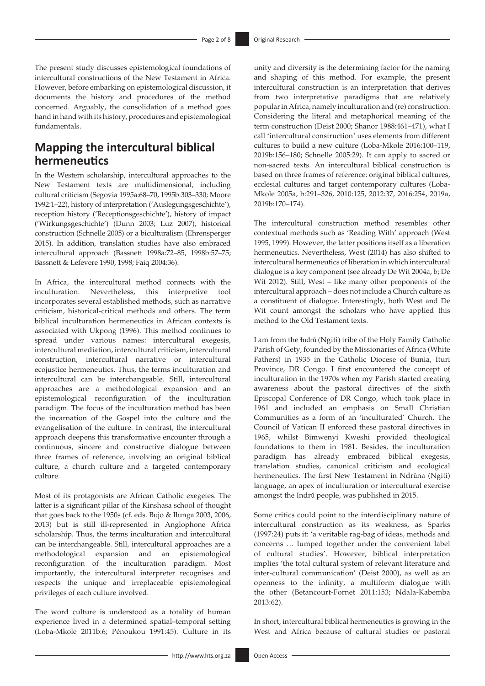The present study discusses epistemological foundations of intercultural constructions of the New Testament in Africa. However, before embarking on epistemological discussion, it documents the history and procedures of the method concerned. Arguably, the consolidation of a method goes hand in hand with its history, procedures and epistemological fundamentals.

# **Mapping the intercultural biblical hermeneutics**

In the Western scholarship, intercultural approaches to the New Testament texts are multidimensional, including cultural criticism (Segovia 1995a:68–70, 1995b:303–330; Moore 1992:1–22), history of interpretation ('Auslegungsgeschichte'), reception history ('Receptionsgeschichte'), history of impact ('Wirkungsgeschichte') (Dunn 2003; Luz 2007), historical construction (Schnelle 2005) or a biculturalism (Ehrensperger 2015). In addition, translation studies have also embraced intercultural approach (Bassnett 1998a:72–85, 1998b:57–75; Bassnett & Lefevere 1990, 1998; Faiq 2004:36).

In Africa, the intercultural method connects with the inculturation. Nevertheless, this interpretive tool incorporates several established methods, such as narrative criticism, historical-critical methods and others. The term biblical inculturation hermeneutics in African contexts is associated with Ukpong (1996). This method continues to spread under various names: intercultural exegesis, intercultural mediation, intercultural criticism, intercultural construction, intercultural narrative or intercultural ecojustice hermeneutics. Thus, the terms inculturation and intercultural can be interchangeable. Still, intercultural approaches are a methodological expansion and an epistemological reconfiguration of the inculturation paradigm. The focus of the inculturation method has been the incarnation of the Gospel into the culture and the evangelisation of the culture. In contrast, the intercultural approach deepens this transformative encounter through a continuous, sincere and constructive dialogue between three frames of reference, involving an original biblical culture, a church culture and a targeted contemporary culture.

Most of its protagonists are African Catholic exegetes. The latter is a significant pillar of the Kinshasa school of thought that goes back to the 1950s (cf. eds. Bujo & Ilunga 2003, 2006, 2013) but is still ill-represented in Anglophone Africa scholarship. Thus, the terms inculturation and intercultural can be interchangeable. Still, intercultural approaches are a methodological expansion and an epistemological reconfiguration of the inculturation paradigm. Most importantly, the intercultural interpreter recognises and respects the unique and irreplaceable epistemological privileges of each culture involved.

The word culture is understood as a totality of human experience lived in a determined spatial–temporal setting (Loba-Mkole 2011b:6; Pénoukou 1991:45). Culture in its

unity and diversity is the determining factor for the naming and shaping of this method. For example, the present intercultural construction is an interpretation that derives from two interpretative paradigms that are relatively popular in Africa, namely inculturation and (re) construction. Considering the literal and metaphorical meaning of the term construction (Deist 2000; Shanor 1988:461–471), what I call 'intercultural construction' uses elements from different cultures to build a new culture (Loba-Mkole 2016:100–119, 2019b:156–180; Schnelle 2005:29). It can apply to sacred or non-sacred texts. An intercultural biblical construction is based on three frames of reference: original biblical cultures, ecclesial cultures and target contemporary cultures (Loba-Mkole 2005a, b:291–326, 2010:125, 2012:37, 2016:254, 2019a, 2019b:170–174).

The intercultural construction method resembles other contextual methods such as 'Reading With' approach (West 1995, 1999). However, the latter positions itself as a liberation hermeneutics. Nevertheless, West (2014) has also shifted to intercultural hermeneutics of liberation in which intercultural dialogue is a key component (see already De Wit 2004a, b; De Wit 2012). Still, West – like many other proponents of the intercultural approach – does not include a Church culture as a constituent of dialogue. Interestingly, both West and De Wit count amongst the scholars who have applied this method to the Old Testament texts.

I am from the Indrǔ (Ngiti) tribe of the Holy Family Catholic Parish of Gety, founded by the Missionaries of Africa (White Fathers) in 1935 in the Catholic Diocese of Bunia, Ituri Province, DR Congo. I first encountered the concept of inculturation in the 1970s when my Parish started creating awareness about the pastoral directives of the sixth Episcopal Conference of DR Congo, which took place in 1961 and included an emphasis on Small Christian Communities as a form of an 'inculturated' Church. The Council of Vatican II enforced these pastoral directives in 1965, whilst Bimwenyi Kweshi provided theological foundations to them in 1981. Besides, the inculturation paradigm has already embraced biblical exegesis, translation studies, canonical criticism and ecological hermeneutics. The first New Testament in Ndrŭna (Ngiti) language, an apex of inculturation or intercultural exercise amongst the Indrǔ people, was published in 2015.

Some critics could point to the interdisciplinary nature of intercultural construction as its weakness, as Sparks (1997:24) puts it: 'a veritable rag-bag of ideas, methods and concerns … lumped together under the convenient label of cultural studies'. However, biblical interpretation implies 'the total cultural system of relevant literature and inter-cultural communication' (Deist 2000), as well as an openness to the infinity, a multiform dialogue with the other (Betancourt-Fornet 2011:153; Ndala-Kabemba 2013:62).

In short, intercultural biblical hermeneutics is growing in the West and Africa because of cultural studies or pastoral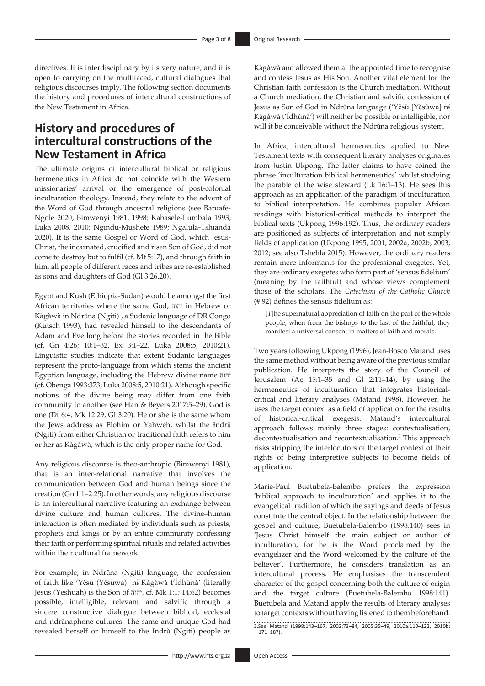directives. It is interdisciplinary by its very nature, and it is open to carrying on the multifaced, cultural dialogues that religious discourses imply. The following section documents the history and procedures of intercultural constructions of the New Testament in Africa.

## **History and procedures of intercultural constructions of the New Testament in Africa**

The ultimate origins of intercultural biblical or religious hermeneutics in Africa do not coincide with the Western missionaries' arrival or the emergence of post-colonial inculturation theology. Instead, they relate to the advent of the Word of God through ancestral religions (see Batuafe-Ngole 2020; Bimwenyi 1981, 1998; Kabasele-Lumbala 1993; Luka 2008, 2010; Ngindu-Mushete 1989; Ngalula-Tshianda 2020). It is the same Gospel or Word of God, which Jesus-Christ, the incarnated, crucified and risen Son of God, did not come to destroy but to fulfil (cf. Mt 5:17), and through faith in him, all people of different races and tribes are re-established as sons and daughters of God (Gl 3:26.20).

Egypt and Kush (Ethiopia-Sudan) would be amongst the first African territories where the same God, יהוה in Hebrew or Kàgàwà in Ndrǔna (Ngiti) , a Sudanic language of DR Congo (Kutsch 1993), had revealed himself to the descendants of Adam and Eve long before the stories recorded in the Bible (cf. Gn 4:26; 10:1–32, Ex 3:1–22, Luka 2008:5, 2010:21). Linguistic studies indicate that extent Sudanic languages represent the proto-language from which stems the ancient Egyptian language, including the Hebrew divine name יהוה (cf. Obenga 1993:373; Luka 2008:5, 2010:21). Although specific notions of the divine being may differ from one faith community to another (see Han & Beyers 2017:5–29), God is one (Dt 6:4, Mk 12:29, Gl 3:20). He or she is the same whom the Jews address as Elohim or Yahweh, whilst the Indrǔ (Ngiti) from either Christian or traditional faith refers to him or her as Kàgàwà, which is the only proper name for God.

Any religious discourse is theo-anthropic (Bimwenyi 1981), that is an inter-relational narrative that involves the communication between God and human beings since the creation (Gn 1:1–2.25). In other words, any religious discourse is an intercultural narrative featuring an exchange between divine culture and human cultures. The divine–human interaction is often mediated by individuals such as priests, prophets and kings or by an entire community confessing their faith or performing spiritual rituals and related activities within their cultural framework.

For example, in Ndrŭna (Ngiti) language, the confession of faith like 'Yěsù (Yěsùwa) nɨ́ Kàgàwà t'Ídhùnà' (literally Jesus (Yeshuah) is the Son of יהוה, cf. Mk 1:1; 14:62) becomes possible, intelligible, relevant and salvific through a sincere constructive dialogue between biblical, ecclesial and ndrǔnaphone cultures. The same and unique God had revealed herself or himself to the Indrŭ (Ngiti) people as

Kàgàwà and allowed them at the appointed time to recognise and confess Jesus as His Son. Another vital element for the Christian faith confession is the Church mediation. Without a Church mediation, the Christian and salvific confession of Jesus as Son of God in Ndrǔna language ('Yěsù [Yěsùwa] nɨ́ Kàgàwà t'Ídhùnà') will neither be possible or intelligible, nor will it be conceivable without the Ndrŭna religious system.

In Africa, intercultural hermeneutics applied to New Testament texts with consequent literary analyses originates from Justin Ukpong. The latter claims to have coined the phrase 'inculturation biblical hermeneutics' whilst studying the parable of the wise steward (Lk 16:1–13). He sees this approach as an application of the paradigm of inculturation to biblical interpretation. He combines popular African readings with historical-critical methods to interpret the biblical texts (Ukpong 1996:192). Thus, the ordinary readers are positioned as subjects of interpretation and not simply fields of application (Ukpong 1995, 2001, 2002a, 2002b, 2003, 2012; see also Tshehla 2015). However, the ordinary readers remain mere informants for the professional exegetes. Yet, they are ordinary exegetes who form part of 'sensus fidelium' (meaning by the faithful) and whose views complement those of the scholars. The *Catechism of the Catholic Church* (# 92) defines the sensus fidelium as:

[*T*]he supernatural appreciation of faith on the part of the whole people, when from the bishops to the last of the faithful, they manifest a universal consent in matters of faith and morals.

Two years following Ukpong (1996), Jean-Bosco Matand uses the same method without being aware of the previous similar publication. He interprets the story of the Council of Jerusalem (Ac 15:1–35 and Gl 2:11–14), by using the hermeneutics of inculturation that integrates historicalcritical and literary analyses (Matand 1998). However, he uses the target context as a field of application for the results of historical-critical exegesis. Matand's intercultural approach follows mainly three stages: contextualisation, decontextualisation and recontextualisation.3 This approach risks stripping the interlocutors of the target context of their rights of being interpretive subjects to become fields of application.

Marie-Paul Buetubela-Balembo prefers the expression 'biblical approach to inculturation' and applies it to the evangelical tradition of which the sayings and deeds of Jesus constitute the central object. In the relationship between the gospel and culture, Buetubela-Balembo (1998:140) sees in 'Jesus Christ himself the main subject or author of inculturation, for he is the Word proclaimed by the evangelizer and the Word welcomed by the culture of the believer'. Furthermore, he considers translation as an intercultural process. He emphasises the transcendent character of the gospel concerning both the culture of origin and the target culture (Buetubela-Balembo 1998:141). Buetubela and Matand apply the results of literary analyses to target contexts without having listened to them beforehand.

3.See Matand (1998:143–167, 2002:73–84, 2005:35–49, 2010a:110–122, 2010b: 171–187).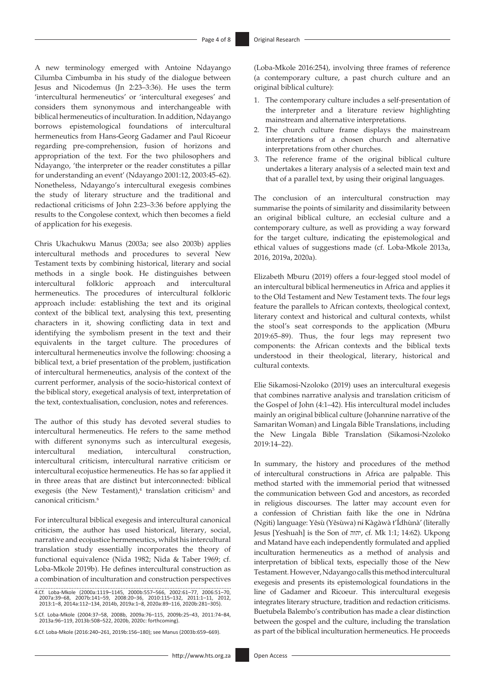A new terminology emerged with Antoine Ndayango Cilumba Cimbumba in his study of the dialogue between Jesus and Nicodemus (Jn 2:23–3:36). He uses the term 'intercultural hermeneutics' or 'intercultural exegeses' and considers them synonymous and interchangeable with biblical hermeneutics of inculturation. In addition, Ndayango borrows epistemological foundations of intercultural hermeneutics from Hans-Georg Gadamer and Paul Ricoeur regarding pre-comprehension, fusion of horizons and appropriation of the text. For the two philosophers and Ndayango, 'the interpreter or the reader constitutes a pillar for understanding an event' (Ndayango 2001:12, 2003:45–62). Nonetheless, Ndayango's intercultural exegesis combines the study of literary structure and the traditional and redactional criticisms of John 2:23–3:36 before applying the results to the Congolese context, which then becomes a field of application for his exegesis.

Chris Ukachukwu Manus (2003a; see also 2003b) applies intercultural methods and procedures to several New Testament texts by combining historical, literary and social methods in a single book. He distinguishes between intercultural folkloric approach and intercultural hermeneutics. The procedures of intercultural folkloric approach include: establishing the text and its original context of the biblical text, analysing this text, presenting characters in it, showing conflicting data in text and identifying the symbolism present in the text and their equivalents in the target culture. The procedures of intercultural hermeneutics involve the following: choosing a biblical text, a brief presentation of the problem, justification of intercultural hermeneutics, analysis of the context of the current performer, analysis of the socio-historical context of the biblical story, exegetical analysis of text, interpretation of the text, contextualisation, conclusion, notes and references.

The author of this study has devoted several studies to intercultural hermeneutics. He refers to the same method with different synonyms such as intercultural exegesis, intercultural mediation, intercultural construction, intercultural criticism, intercultural narrative criticism or intercultural ecojustice hermeneutics. He has so far applied it in three areas that are distinct but interconnected: biblical exegesis (the New Testament), $4$  translation criticism $5$  and canonical criticism.6

For intercultural biblical exegesis and intercultural canonical criticism, the author has used historical, literary, social, narrative and ecojustice hermeneutics, whilst his intercultural translation study essentially incorporates the theory of functional equivalence (Nida 1982; Nida & Taber 1969; cf. Loba-Mkole 2019b). He defines intercultural construction as a combination of inculturation and construction perspectives

6.Cf. Loba-Mkole (2016:240–261, 2019b:156–180); see Manus (2003b:659–669).

(Loba-Mkole 2016:254), involving three frames of reference (a contemporary culture, a past church culture and an original biblical culture):

- 1. The contemporary culture includes a self-presentation of the interpreter and a literature review highlighting mainstream and alternative interpretations.
- 2. The church culture frame displays the mainstream interpretations of a chosen church and alternative interpretations from other churches.
- 3. The reference frame of the original biblical culture undertakes a literary analysis of a selected main text and that of a parallel text, by using their original languages.

The conclusion of an intercultural construction may summarise the points of similarity and dissimilarity between an original biblical culture, an ecclesial culture and a contemporary culture, as well as providing a way forward for the target culture, indicating the epistemological and ethical values of suggestions made (cf. Loba-Mkole 2013a, 2016, 2019a, 2020a).

Elizabeth Mburu (2019) offers a four-legged stool model of an intercultural biblical hermeneutics in Africa and applies it to the Old Testament and New Testament texts. The four legs feature the parallels to African contexts, theological context, literary context and historical and cultural contexts, whilst the stool's seat corresponds to the application (Mburu 2019:65–89). Thus, the four legs may represent two components: the African contexts and the biblical texts understood in their theological, literary, historical and cultural contexts.

Elie Sikamosi-Nzoloko (2019) uses an intercultural exegesis that combines narrative analysis and translation criticism of the Gospel of John (4:1–42). His intercultural model includes mainly an original biblical culture (Johannine narrative of the Samaritan Woman) and Lingala Bible Translations, including the New Lingala Bible Translation (Sikamosi-Nzoloko 2019:14–22).

In summary, the history and procedures of the method of intercultural constructions in Africa are palpable. This method started with the immemorial period that witnessed the communication between God and ancestors, as recorded in religious discourses. The latter may account even for a confession of Christian faith like the one in Ndrǔna (Ngiti) language: Yěsù (Yěsùwa) nɨ́ Kàgàwà t'Ídhùnà' (literally Jesus [Yeshuah] is the Son of יהוה, cf. Mk 1:1; 14:62). Ukpong and Matand have each independently formulated and applied inculturation hermeneutics as a method of analysis and interpretation of biblical texts, especially those of the New Testament. However, Ndayango calls this method intercultural exegesis and presents its epistemological foundations in the line of Gadamer and Ricoeur. This intercultural exegesis integrates literary structure, tradition and redaction criticisms. Buetubela Balembo's contribution has made a clear distinction between the gospel and the culture, including the translation as part of the biblical inculturation hermeneutics. He proceeds

<sup>4.</sup>Cf. Loba-Mkole (2000a:1119–1145, 2000b:557–566, 2002:61–77, 2006:51–70, 2007a:39–68, 2007b:141–59, 2008:20–36, 2010:115–132, 2011:1–11, 2012, 2013:1–8, 2014a:112–134, 2014b, 2019a:1–8, 2020a:89–116, 2020b:281–305).

<sup>5.</sup>Cf. Loba-Mkole (2004:37–58, 2008b, 2009a:76–115, 2009b:25–43, 2011:74–84, 2013a:96–119, 2013b:508–522, 2020b, 2020c: forthcoming).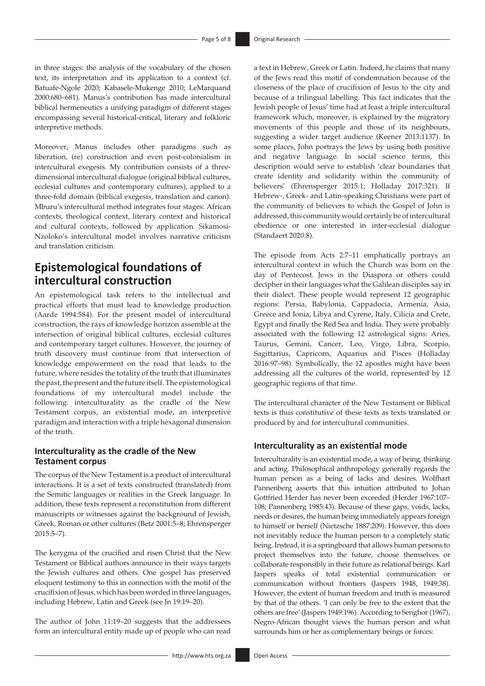in three stages: the analysis of the vocabulary of the chosen text, its interpretation and its application to a context (cf. Batuafe-Ngole 2020; Kabasele-Mukenge 2010; LeMarquand 2000:680–681). Manus's contribution has made intercultural biblical hermeneutics a unifying paradigm of different stages encompassing several historical-critical, literary and folkloric interpretive methods.

Moreover, Manus includes other paradigms such as liberation, (re) construction and even post-colonialism in intercultural exegesis. My contribution consists of a threedimensional intercultural dialogue (original biblical cultures, ecclesial cultures and contemporary cultures), applied to a three-fold domain (biblical exegesis, translation and canon). Mburu's intercultural method integrates four stages: African contexts, theological context, literary context and historical and cultural contexts, followed by application. Sikamosi-Nzoloko's intercultural model involves narrative criticism and translation criticism.

## **Epistemological foundations of intercultural construction**

An epistemological task refers to the intellectual and practical efforts that must lead to knowledge production (Aarde 1994:584). For the present model of intercultural construction, the rays of knowledge horizon assemble at the intersection of original biblical cultures, ecclesial cultures and contemporary target cultures. However, the journey of truth discovery must continue from that intersection of knowledge empowerment on the road that leads to the future, where resides the totality of the truth that illuminates the past, the present and the future itself. The epistemological foundations of my intercultural model include the following: interculturality as the cradle of the New Testament corpus, an existential mode, an interpretive paradigm and interaction with a triple hexagonal dimension of the truth.

### **Interculturality as the cradle of the New Testament corpus**

The corpus of the New Testament is a product of intercultural interactions. It is a set of texts constructed (translated) from the Semitic languages or realities in the Greek language. In addition, these texts represent a reconstitution from different manuscripts or witnesses against the background of Jewish, Greek, Roman or other cultures (Betz 2001:5–8; Ehrensperger 2015:5–7).

The kerygma of the crucified and risen Christ that the New Testament or Biblical authors announce in their ways targets the Jewish cultures and others. One gospel has preserved eloquent testimony to this in connection with the motif of the crucifixion of Jesus, which has been worded in three languages, including Hebrew, Latin and Greek (see Jn 19:19–20).

The author of John 11:19–20 suggests that the addressees form an intercultural entity made up of people who can read

a text in Hebrew, Greek or Latin. Indeed, he claims that many of the Jews read this motif of condemnation because of the closeness of the place of crucifixion of Jesus to the city and because of a trilingual labelling. This fact indicates that the Jewish people of Jesus' time had at least a triple intercultural framework which, moreover, is explained by the migratory movements of this people and those of its neighbours, suggesting a wider target audience (Keener 2013:1137). In some places, John portrays the Jews by using both positive and negative language. In social science terms, this description would serve to establish 'clear boundaries that create identity and solidarity within the community of believers' (Ehrensperger 2015:1; Holladay 2017:321). If Hebrew-, Greek- and Latin-speaking Christians were part of the community of believers to which the Gospel of John is addressed, this community would certainly be of intercultural obedience or one interested in inter-ecclesial dialogue (Standaert 2020:8).

The episode from Acts 2:7–11 emphatically portrays an intercultural context in which the Church was born on the day of Pentecost. Jews in the Diaspora or others could decipher in their languages what the Galilean disciples say in their dialect. These people would represent 12 geographic regions: Persia, Babylonia, Cappadocia, Armenia, Asia, Greece and Ionia, Libya and Cyrene, Italy, Cilicia and Crete, Egypt and finally the Red Sea and India. They were probably associated with the following 12 astrological signs: Aries, Taurus, Gemini, Cancer, Leo, Virgo, Libra, Scorpio, Sagittarius, Capricorn, Aquarius and Pisces (Holladay 2016:97–98). Symbolically, the 12 apostles might have been addressing all the cultures of the world, represented by 12 geographic regions of that time.

The intercultural character of the New Testament or Biblical texts is thus constitutive of these texts as texts translated or produced by and for intercultural communities.

### **Interculturality as an existential mode**

Interculturality is an existential mode, a way of being, thinking and acting. Philosophical anthropology generally regards the human person as a being of lacks and desires. Wolfhart Pannenberg asserts that this intuition attributed to Johan Gottfried Herder has never been exceeded (Herder 1967:107– 108; Pannenberg 1985:43). Because of these gaps, voids, lacks, needs or desires, the human being immediately appears foreign to himself or herself (Nietzsche 1887:209). However, this does not inevitably reduce the human person to a completely static being. Instead, it is a springboard that allows human persons to project themselves into the future, choose themselves or collaborate responsibly in their future as relational beings. Karl Jaspers speaks of total existential communication or communication without frontiers (Jaspers 1948, 1949:38). However, the extent of human freedom and truth is measured by that of the others. 'I can only be free to the extent that the others are free' (Jaspers 1949:196). According to Senghor (1967), Negro-African thought views the human person and what surrounds him or her as complementary beings or forces: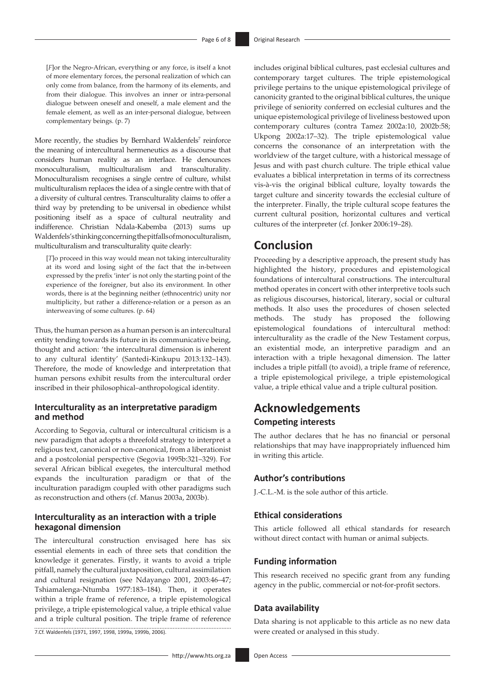[*F*]or the Negro-African, everything or any force, is itself a knot of more elementary forces, the personal realization of which can only come from balance, from the harmony of its elements, and from their dialogue. This involves an inner or intra-personal dialogue between oneself and oneself, a male element and the female element, as well as an inter-personal dialogue, between complementary beings. (p. 7)

More recently, the studies by Bernhard Waldenfels<sup>7</sup> reinforce the meaning of intercultural hermeneutics as a discourse that considers human reality as an interlace. He denounces monoculturalism, multiculturalism and transculturality. Monoculturalism recognises a single centre of culture, whilst multiculturalism replaces the idea of a single centre with that of a diversity of cultural centres. Transculturality claims to offer a third way by pretending to be universal in obedience whilst positioning itself as a space of cultural neutrality and indifference. Christian Ndala-Kabemba (2013) sums up Waldenfels's thinking concerning the pitfalls of monoculturalism, multiculturalism and transculturality quite clearly:

[*T*]o proceed in this way would mean not taking interculturality at its word and losing sight of the fact that the in-between expressed by the prefix 'inter' is not only the starting point of the experience of the foreigner, but also its environment. In other words, there is at the beginning neither (ethnocentric) unity nor multiplicity, but rather a difference-relation or a person as an interweaving of some cultures. (p. 64)

Thus, the human person as a human person is an intercultural entity tending towards its future in its communicative being, thought and action: 'the intercultural dimension is inherent to any cultural identity' (Santedi-Kinkupu 2013:132–143). Therefore, the mode of knowledge and interpretation that human persons exhibit results from the intercultural order inscribed in their philosophical–anthropological identity.

#### **Interculturality as an interpretative paradigm and method**

According to Segovia, cultural or intercultural criticism is a new paradigm that adopts a threefold strategy to interpret a religious text, canonical or non-canonical, from a liberationist and a postcolonial perspective (Segovia 1995b:321–329). For several African biblical exegetes, the intercultural method expands the inculturation paradigm or that of the inculturation paradigm coupled with other paradigms such as reconstruction and others (cf. Manus 2003a, 2003b).

### **Interculturality as an interaction with a triple hexagonal dimension**

The intercultural construction envisaged here has six essential elements in each of three sets that condition the knowledge it generates. Firstly, it wants to avoid a triple pitfall, namely the cultural juxtaposition, cultural assimilation and cultural resignation (see Ndayango 2001, 2003:46–47; Tshiamalenga-Ntumba 1977:183–184). Then, it operates within a triple frame of reference, a triple epistemological privilege, a triple epistemological value, a triple ethical value and a triple cultural position. The triple frame of reference 7.Cf. Waldenfels (1971, 1997, 1998, 1999a, 1999b, 2006).

includes original biblical cultures, past ecclesial cultures and contemporary target cultures. The triple epistemological privilege pertains to the unique epistemological privilege of canonicity granted to the original biblical cultures, the unique privilege of seniority conferred on ecclesial cultures and the unique epistemological privilege of liveliness bestowed upon contemporary cultures (contra Tamez 2002a:10, 2002b:58; Ukpong 2002a:17–32). The triple epistemological value concerns the consonance of an interpretation with the worldview of the target culture, with a historical message of Jesus and with past church culture. The triple ethical value evaluates a biblical interpretation in terms of its correctness vis-à-vis the original biblical culture, loyalty towards the target culture and sincerity towards the ecclesial culture of the interpreter. Finally, the triple cultural scope features the current cultural position, horizontal cultures and vertical cultures of the interpreter (cf. Jonker 2006:19–28).

### **Conclusion**

Proceeding by a descriptive approach, the present study has highlighted the history, procedures and epistemological foundations of intercultural constructions. The intercultural method operates in concert with other interpretive tools such as religious discourses, historical, literary, social or cultural methods. It also uses the procedures of chosen selected methods. The study has proposed the following epistemological foundations of intercultural method: interculturality as the cradle of the New Testament corpus, an existential mode, an interpretive paradigm and an interaction with a triple hexagonal dimension. The latter includes a triple pitfall (to avoid), a triple frame of reference, a triple epistemological privilege, a triple epistemological value, a triple ethical value and a triple cultural position.

# **Acknowledgements Competing interests**

The author declares that he has no financial or personal relationships that may have inappropriately influenced him in writing this article.

### **Author's contributions**

J.-C.L.-M. is the sole author of this article.

### **Ethical considerations**

This article followed all ethical standards for research without direct contact with human or animal subjects.

### **Funding information**

This research received no specific grant from any funding agency in the public, commercial or not-for-profit sectors.

#### **Data availability**

Data sharing is not applicable to this article as no new data were created or analysed in this study.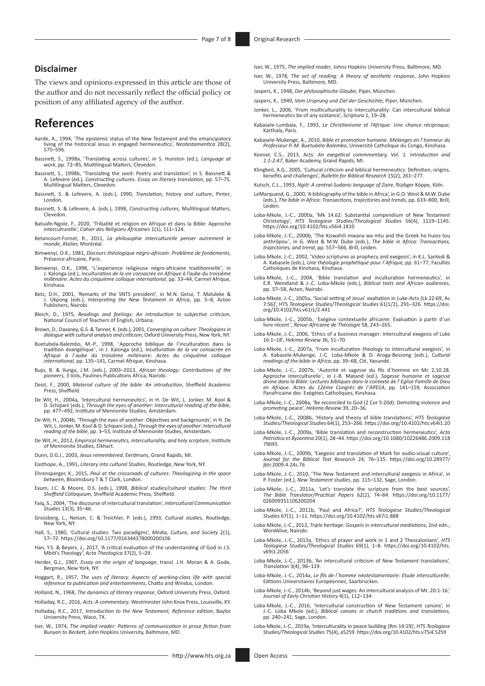#### **Disclaimer**

The views and opinions expressed in this article are those of the author and do not necessarily reflect the official policy or position of any affiliated agency of the author.

### **References**

- Aarde, A., 1994, 'The epistemic status of the New Testament and the emancipatory living of the historical Jesus in engaged hermeneutics', *Neotestamentica* 28(2), 575–596.
- Bassnett, S., 1998a, 'Translating across cultures', in S. Hunston (ed.), *Language at work*, pp. 72–85, Multilingual Matters, Clevedon.
- Bassnett, S., 1998b, 'Translating the seed: Poetry and translation', in S. Bassnett & A. Lefevere (ed.), *Constructing cultures. Essay on literary translation*, pp. 57–75, Multilingual Matters, Clevedon.
- Bassnett, S. & Lefevere, A. (eds.), 1990, *Translation, history and culture*, Pinter, London.
- Bassnett, S. & Lefevere, A. (eds.), 1998, *Constructing cultures*, Multilingual Matters, Clevedon.
- Batuafe-Ngole, F., 2020, 'Tribalité et religion en Afrique et dans la Bible: Approche interculturelle', *Cahier des Religions Africaines* 1(1), 111–124.
- Betancourt-Fornet, R., 2011, *La philosophie interculturelle penser autrement le monde*, Atelier, Montréal.
- Bimwenyi, O.K., 1981, *Discours théologique négro-africain: Problème de fondements*, Présence africaine, Paris.
- ,'Bimwenyi, O.K., 1998, 'L'expérience religieuse négro-africaine traditionnelle', in<br>J. Ralonga (ed.), Inculturation de la vie consacrée en Afrique à l'aube du troisième.<br>Milénaire: Actes du cinquième colloque internationa Kinshasa.
- Betz, D.H., 2001, 'Remarks of the SNTS president', in M.N. Getui, T. Maluleke & J. Ukpong (eds.), *Interpreting the New Testament in Africa*, pp. 5–8, Acton Publishers, Nairobi.
- Bleich, D., 1975, *Readings and feelings: An introduction to subjective criticism*, National Council of Teachers of English, Urbana.
- Brown, D., Davaney, G.S. & Tanner, K. (eds.), 2001, *Converging on culture: Theologians in dialogue with cultural analysis and criticism*, Oxford University Press, New York, NY.
- Buetubela-Balembo, M.-P., 1998, 'Approche biblique de l'inculturation dans la tradition évangélique', in J. Kalonga (ed.), *Inculturation de la vie consacrée en Afrique à l*'*aube du troisième millénaire: Actes du cinquième colloque international,* pp. 135–141, Carmel Afrique, Kinshasa.
- Bujo, B. & Ilunga, J.M. (eds.), 2003–2013, *African theology: Contributions of the pioneers,* 3 Vols, Paulines Publications Africa, Nairobi.
- Deist, F., 2000, *Material culture of the bible: An introduction*, Sheffield Academic Press, Sheffield.
- De Wit, H., 2004a, 'Intercultural hermeneutics', in H. De Wit, L. Jonker, M. Kool & D. Schipani (eds.), *Through the eyes of another: Intercultural reading of the bible*, pp. 477–492, Institute of Mennonite Studies, Amsterdam.
- De Wit, H., 2004b, 'Through the eyes of another: Objectives and backgrounds', in H. De Wit, L. Jonker, M. Kool & D. Schipani (eds.), *Through the eyes of another: Intercultural*<br>*reading of the bible*, pp. 3–53, Institute
- De Wit, H., 2012, *Empirical hermeneutics, interculturality, and holy scripture*, Institute of Mennonite Studies, Elkhart.
- Dunn, D.G.J., 2003, *Jesus remembered*, Eerdmans, Grand Rapids, MI.
- Easthope, A., 1991, *Literary into cultural Studies*, Routledge, New York, NY.
- Ehrensperger, K., 2015, *Paul at the crossroads of cultures: Theologizing in the space between*, Bloomsbury T & T Clark, London.
- Exum, J.C. & Moore, D.S. (eds.), 1998, *Biblical studies/cultural studies: The third Sheffield Colloquium*, Sheffield Academic Press, Sheffield.
- Faiq, S., 2004, 'The discourse of intercultural translation', *Intercultural Communication Studies* 13(3), 35–46.
- Grossberg, L., Nelson, C. & Treichler, P. (eds.), 1993, *Cultural studies*, Routledge, New York, NY.
- Hall, S., 1980, 'Cultural studies: Two paradigms', *Media, Culture, and Society* 2(1), 57–72. <https://doi.org/10.1177/016344378000200106>
- Han, Y.S. & Beyers, J., 2017, 'A critical evaluation of the understanding of God in J.S. Mbiti's Theology', *Acta Theologica* 37(2), 5–29.
- Herder, G.J., 1967, *Essay on the origin of language*, transl. J.H. Moran & A. Gode, Bergman, New York, NY.
- Hoggart, R., 1957, *The uses of literacy. Aspects of working-class life with special reference to publication and entertainments*, Chatto and Windus, London.
- Holland, N., 1968, *The dynamics of literary response*, Oxford University Press, Oxford.
- Holladay*,* R.C., 2016, *Acts: A commentary*, Westminster John Knox Press, Louisville, KY.
- Holladay*,* R.C., 2017, *Introduction to the New Testament, Reference edition*, Baylor University Press, Waco, TX.
- Iser, W., 1974, *The implied reader: Patterns of communication in prose fiction from Bunyan to Beckett*, John Hopkins University, Baltimore, MD.
- Iser, W., 1975, *The implied reader*, Johns Hopkins University Press, Baltimore, MD.
- Iser, W., 1978, *The act of reading: A theory of aesthetic response*, John Hopkins University Press, Baltimore, MD.
- Jaspers, K., 1948, *Der philosophische Glaube*, Piper, München.
- Jaspers, K., 1949, *Vom Ursprung und Ziel der Geschichte*, Piper, München.
- Jonker, L., 2006, 'From multiculturality to interculturality: Can intercultural biblical hermeneutics be of any ssistance', *Scriptura* 1, 19–28.
- Kabasele-Lumbala, F., 1993, *Le Christianisme et l'Afrique: Une chance réciproque*, Karthala, Paris.
- Kabasele-Mukenge, A., 2010, *Bible et promotion humaine. Mélanges en l*'*honneur du Professeur P.-M. Buetubela Balembo*, Université Catholique du Congo, Kinshasa.
- Keener, C.S., 2013, Acts: *An exegetical commmentary, Vol. 1. Introduction and 1:1-2:47*, Baker Academy, Grand Rapids, MI.
- Klingbeil, A.G., 2005, 'Cultural criticism and biblical hermeneutics: Definition, origins, benefits and challenges', *Bulletin for Biblical Research* 15(2), 261–277.
- Kutsch, C.L., 1993, *Ngiti: A central-Sudanic language of Zaire*, Rüdiger Köppe, Köln.
- LeMarquand, G., 2000, 'A bibliography of the bible in Africa', in G.O. West & M.W. Dube (eds.), *The bible in Africa: Transactions, trajectories and trends*, pp. 633–800, Brill, Leiden.
- Loba-Mkole, J.-C., 2000a, 'Mk 14.62: Substantial compendium of New Testament Christology', *HTS Teologiese Studies/Theological Studies* 56(4), 1119–1145. <https://doi.org/10.4102/hts.v56i4.1810>
- Loba-Mkole, J.-C., 2000b, 'The Kiswahili mwana wa mtu and the Greek ho huios tou anthrôpou', in G. West & M.W. Dube (eds.), *The bible in Africa: Transactions, trajectories, and trend*, pp. 557–566, Brill, Leiden.
- Loba-Mkole, J.-C., 2002, 'Video scriptures as prophecy and exegesis', in K.L. Santedi & A. Kabasele (eds.), *Une théologie prophétique pour l*'*Afrique*, pp. 61–77, Facultés Catholiques de Kinshasa, Kinshasa.
- Loba-Mkole, J.-C., 2004, 'Bible translation and inculturation hermeneutics', in E.R. Wendland & J-.C. Loba-Mkole (eds.), *Biblical texts and African audiences*, pp. 37–58, Acton, Nairobi.
- Loba-Mkole, J.-C., 2005a, 'Social setting of Jesus' exaltation in Luke-Acts (Lk 22:69, Ac 7:56)', HTS *Teologiese Studies/Theological Studies* 61(1/2), 291–326. [https://doi.](https://doi.org/10.4102/hts.v61i1/2.441) [org/10.4102/hts.v61i1/2.441](https://doi.org/10.4102/hts.v61i1/2.441)
- Loba-Mkole, J.-C., 2005b, 'Exégèse contextuelle africaine: Evaluation à partir d'un livre récent', *Revue Africaine de Théologie* 58, 243–265.
- Loba-Mkole, J.-C., 2006, 'Ethics of a business manager: Intercultural exegesis of Luke 16:1–18', *Hekima Review* 36, 51–70.
- Loba-Mkole, J.-C., 2007a, 'From inculturation theology to intercultural exegesis', in A. Kabasele-Mukenge, J.-C. Loba-Mkole & D. Aroga-Bessong (eds.), C*ultural readings of the bible in Africa*, pp. 39–68, Clé, Yaoundé.
- Loba-Mkole, J.-C., 2007b, 'Autorité et sagesse du fils d'homme en Mc 2,10.28.<br>Approche interculturelle', in J.-B. Matand (ed.), *Sagesse humaine et sagesse du*<br>*divine dans la Bible: Lectures bibliques dans le contexte de* Panafricaine des Exégètes Catholiques, Kinshasa.
- Loba-Mkole, J.-C., 2008a, 'Be reconciled to God (2 Cor 5:20d): Demoting violence and promoting peace', *Hekima Review* 39, 20–36.
- Loba-Mkole, J.-C., 2008b, 'History and theory of bible translations', *HTS Teologiese Studies/Theological Studies* 64(1), 253–266. <https://doi.org/10.4102/hts.v64i1.20>
- Loba-Mkole, J.-C., 2009a, 'Bible translation and reconstruction hermeneutics', *Acta Patristica et Byzantina* 20(1), 28–44. [https://doi.org/10.1080/10226486.2009.118](https://doi.org/10.1080/10226486.2009.11879095) [79095](https://doi.org/10.1080/10226486.2009.11879095)
- Loba-Mkole, J.-C., 2009b, 'Exegesis and translation of Mark for audio-visual culture', *Journal for the Biblical Text Research* 24, 76–115. [https://doi.org/10.28977/](https://doi.org/10.28977/jbtr.2009.4.24s.76) [jbtr.2009.4.24s.76](https://doi.org/10.28977/jbtr.2009.4.24s.76)
- Loba-Mkole, J.-C., 2010, 'The New Testament and intercultural exegesis in Africa', in P. Foster (ed.), *New Testament studies*, pp. 115–132, Sage, London.
- Loba-Mkole, J.-C., 2011a, 'Let's translate the scripture from the best sources', *The Bible Translator/Practical Papers* 62(2), 74–84. [https://doi.org/10.1177/](https://doi.org/10.1177/026009351106200204) [026009351106200204](https://doi.org/10.1177/026009351106200204)
- Loba-Mkole, J.-C., 2011b, 'Paul and Africa?', *HTS Teologiese Studies/Theological Studies* 67(1), 1–11. <https://doi.org/10.4102/hts.v67i1.888>
- Loba-Mkole, J.-C., 2012, *Triple heritage: Gospels in intercultural mediations*, 2nd edn., WordAlive, Nairobi.
- Loba-Mkole, J.-C., 2013a, 'Ethics of prayer and work in 1 and 2 Thessalonians', *HTS Teologiese Studies/Theological Studies* 69(1), 1–8. [https://doi.org/10.4102/hts.](https://doi.org/10.4102/hts.v69i1.2056) [v69i1.2056](https://doi.org/10.4102/hts.v69i1.2056)
- Loba-Mkole, J.-C., 2013b, 'An intercultural criticism of New Testament translations', *Translation* 3(4), 96–119.
- Loba-Mkole, J.-C., 2014a, *Le fils de l*'*homme néotestamentaire: Etude interculturelle*, Editions Universitaires Européennes, Saarbrücken.
- Loba-Mkole, J.-C., 2014b, 'Beyond just wages: An intercultural analysis of Mt. 20:1-16,' *Journal of Early Christian History* 4(1), 112–134.
- Loba-Mkole, J.-C., 2016, 'Intercultural construction of New Testament canons', in J.-C. Loba Mkole (ed.), *Biblical canons in church traditions and translations,*  pp. 240–241, Sage, London.
- Loba-Mkole, J.-C., 2019a, 'Interculturality in peace building (Rm 14:19)', *HTS Teologiese Studies/Theological Studies* 75(4), a5259.<https://doi.org/10.4102/hts.v75i4.5259>